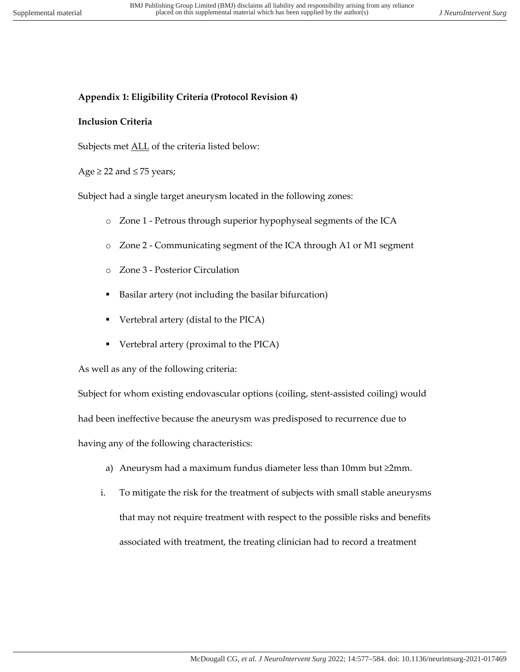# **Appendix 1: Eligibility Criteria (Protocol Revision 4)**

## **Inclusion Criteria**

Subjects met **ALL** of the criteria listed below:

## Age  $\ge$  22 and  $\le$  75 years;

Subject had a single target aneurysm located in the following zones:

- o Zone 1 Petrous through superior hypophyseal segments of the ICA
- o Zone 2 Communicating segment of the ICA through A1 or M1 segment
- o Zone 3 Posterior Circulation
- Basilar artery (not including the basilar bifurcation)
- § Vertebral artery (distal to the PICA)
- Vertebral artery (proximal to the PICA)

As well as any of the following criteria:

Subject for whom existing endovascular options (coiling, stent-assisted coiling) would

had been ineffective because the aneurysm was predisposed to recurrence due to

having any of the following characteristics:

- a) Aneurysm had a maximum fundus diameter less than 10mm but ≥2mm.
- i. To mitigate the risk for the treatment of subjects with small stable aneurysms that may not require treatment with respect to the possible risks and benefits associated with treatment, the treating clinician had to record a treatment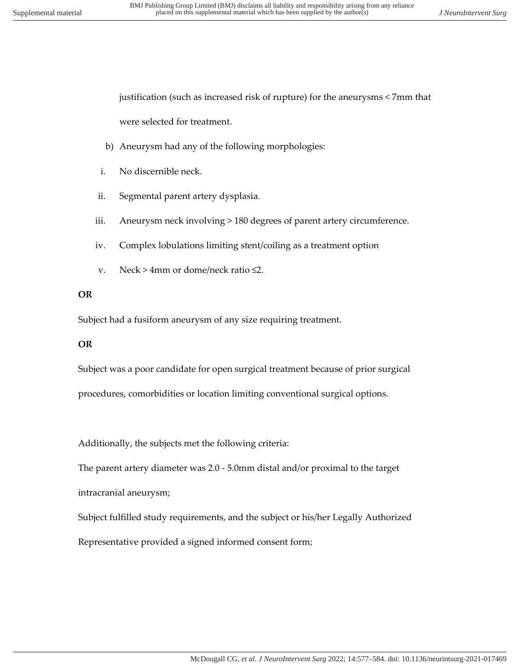justification (such as increased risk of rupture) for the aneurysms < 7mm that were selected for treatment.

- b) Aneurysm had any of the following morphologies:
- i. No discernible neck.
- ii. Segmental parent artery dysplasia.
- iii. Aneurysm neck involving > 180 degrees of parent artery circumference.
- iv. Complex lobulations limiting stent/coiling as a treatment option
- v. Neck > 4mm or dome/neck ratio  $\leq 2$ .

## **OR**

Subject had a fusiform aneurysm of any size requiring treatment.

## **OR**

Subject was a poor candidate for open surgical treatment because of prior surgical procedures, comorbidities or location limiting conventional surgical options.

Additionally, the subjects met the following criteria:

The parent artery diameter was 2.0 - 5.0mm distal and/or proximal to the target

intracranial aneurysm;

Subject fulfilled study requirements, and the subject or his/her Legally Authorized

Representative provided a signed informed consent form;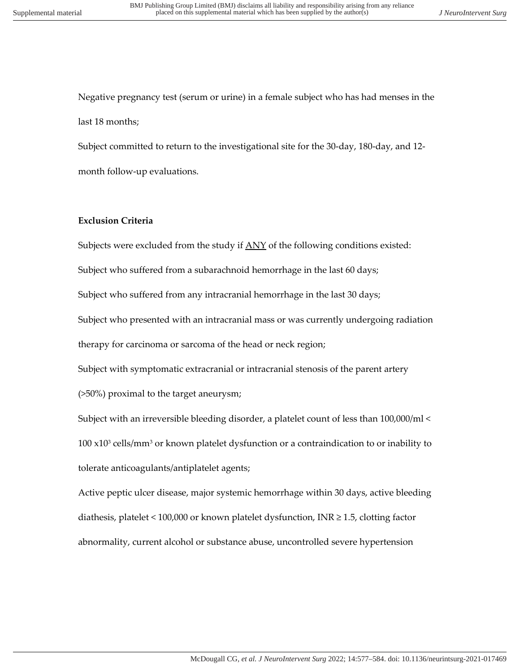Negative pregnancy test (serum or urine) in a female subject who has had menses in the last 18 months;

Subject committed to return to the investigational site for the 30-day, 180-day, and 12 month follow-up evaluations.

## **Exclusion Criteria**

Subjects were excluded from the study if  $\Delta$ NY of the following conditions existed:

Subject who suffered from a subarachnoid hemorrhage in the last 60 days;

Subject who suffered from any intracranial hemorrhage in the last 30 days;

Subject who presented with an intracranial mass or was currently undergoing radiation therapy for carcinoma or sarcoma of the head or neck region;

Subject with symptomatic extracranial or intracranial stenosis of the parent artery

(>50%) proximal to the target aneurysm;

Subject with an irreversible bleeding disorder, a platelet count of less than 100,000/ml <  $100 \times 10^3$  cells/mm<sup>3</sup> or known platelet dysfunction or a contraindication to or inability to tolerate anticoagulants/antiplatelet agents;

Active peptic ulcer disease, major systemic hemorrhage within 30 days, active bleeding diathesis, platelet < 100,000 or known platelet dysfunction, INR ≥ 1.5, clotting factor abnormality, current alcohol or substance abuse, uncontrolled severe hypertension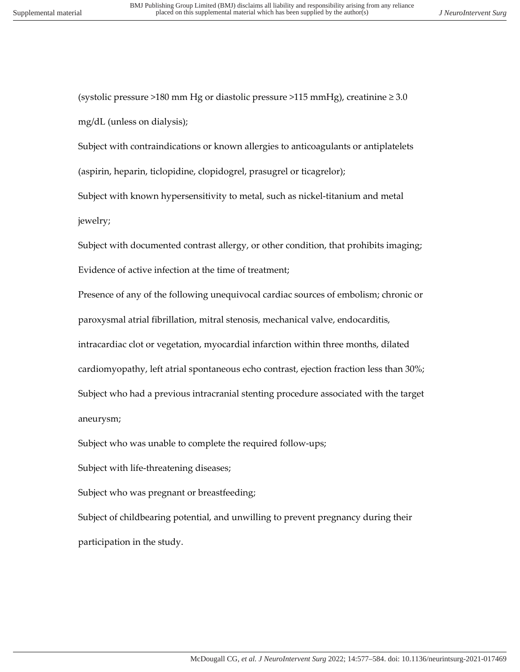(systolic pressure >180 mm Hg or diastolic pressure >115 mmHg), creatinine  $\geq 3.0$ mg/dL (unless on dialysis);

Subject with contraindications or known allergies to anticoagulants or antiplatelets (aspirin, heparin, ticlopidine, clopidogrel, prasugrel or ticagrelor);

Subject with known hypersensitivity to metal, such as nickel-titanium and metal jewelry;

Subject with documented contrast allergy, or other condition, that prohibits imaging; Evidence of active infection at the time of treatment;

Presence of any of the following unequivocal cardiac sources of embolism; chronic or paroxysmal atrial fibrillation, mitral stenosis, mechanical valve, endocarditis, intracardiac clot or vegetation, myocardial infarction within three months, dilated cardiomyopathy, left atrial spontaneous echo contrast, ejection fraction less than 30%; Subject who had a previous intracranial stenting procedure associated with the target aneurysm;

Subject who was unable to complete the required follow-ups;

Subject with life-threatening diseases;

Subject who was pregnant or breastfeeding;

Subject of childbearing potential, and unwilling to prevent pregnancy during their participation in the study.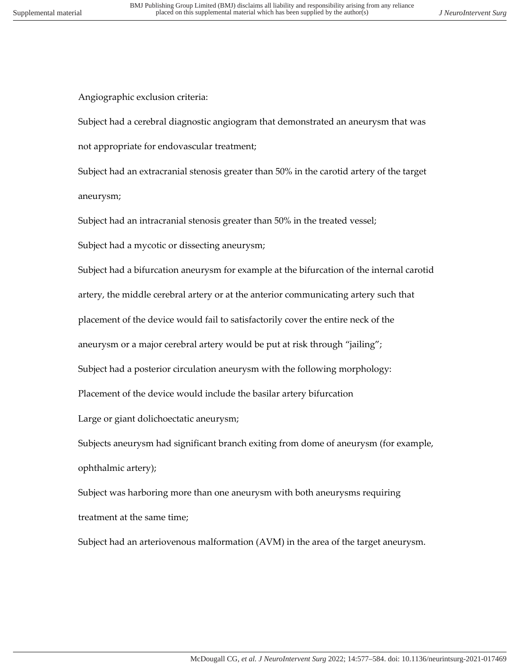Angiographic exclusion criteria:

Subject had a cerebral diagnostic angiogram that demonstrated an aneurysm that was not appropriate for endovascular treatment;

Subject had an extracranial stenosis greater than 50% in the carotid artery of the target aneurysm;

Subject had an intracranial stenosis greater than 50% in the treated vessel;

Subject had a mycotic or dissecting aneurysm;

Subject had a bifurcation aneurysm for example at the bifurcation of the internal carotid

artery, the middle cerebral artery or at the anterior communicating artery such that

placement of the device would fail to satisfactorily cover the entire neck of the

aneurysm or a major cerebral artery would be put at risk through "jailing";

Subject had a posterior circulation aneurysm with the following morphology:

Placement of the device would include the basilar artery bifurcation

Large or giant dolichoectatic aneurysm;

Subjects aneurysm had significant branch exiting from dome of aneurysm (for example, ophthalmic artery);

Subject was harboring more than one aneurysm with both aneurysms requiring treatment at the same time;

Subject had an arteriovenous malformation (AVM) in the area of the target aneurysm.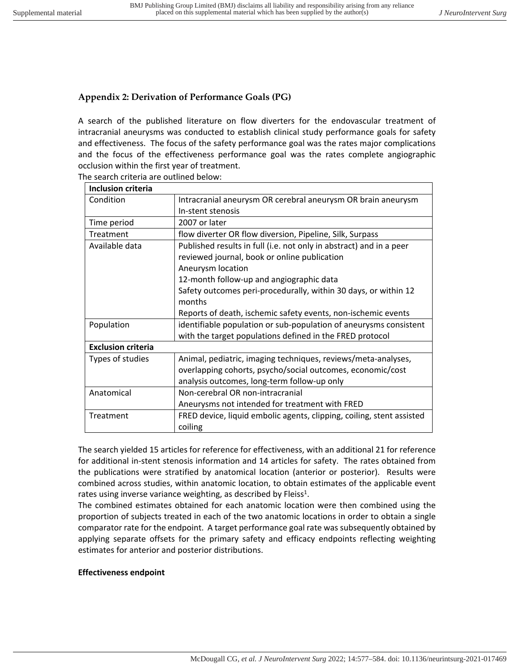## **Appendix 2: Derivation of Performance Goals (PG)**

A search of the published literature on flow diverters for the endovascular treatment of intracranial aneurysms was conducted to establish clinical study performance goals for safety and effectiveness. The focus of the safety performance goal was the rates major complications and the focus of the effectiveness performance goal was the rates complete angiographic occlusion within the first year of treatment. The search criteria are outlined below:

| <b>Inclusion criteria</b> |                                                                       |  |
|---------------------------|-----------------------------------------------------------------------|--|
| Condition                 | Intracranial aneurysm OR cerebral aneurysm OR brain aneurysm          |  |
|                           | In-stent stenosis                                                     |  |
| Time period               | 2007 or later                                                         |  |
| Treatment                 | flow diverter OR flow diversion, Pipeline, Silk, Surpass              |  |
| Available data            | Published results in full (i.e. not only in abstract) and in a peer   |  |
|                           | reviewed journal, book or online publication                          |  |
|                           | Aneurysm location                                                     |  |
|                           | 12-month follow-up and angiographic data                              |  |
|                           | Safety outcomes peri-procedurally, within 30 days, or within 12       |  |
|                           | months                                                                |  |
|                           | Reports of death, ischemic safety events, non-ischemic events         |  |
| Population                | identifiable population or sub-population of aneurysms consistent     |  |
|                           | with the target populations defined in the FRED protocol              |  |
| <b>Exclusion criteria</b> |                                                                       |  |
| Types of studies          | Animal, pediatric, imaging techniques, reviews/meta-analyses,         |  |
|                           | overlapping cohorts, psycho/social outcomes, economic/cost            |  |
|                           | analysis outcomes, long-term follow-up only                           |  |
| Anatomical                | Non-cerebral OR non-intracranial                                      |  |
|                           | Aneurysms not intended for treatment with FRED                        |  |
| Treatment                 | FRED device, liquid embolic agents, clipping, coiling, stent assisted |  |
|                           | coiling                                                               |  |

The search yielded 15 articles for reference for effectiveness, with an additional 21 for reference for additional in-stent stenosis information and 14 articles for safety. The rates obtained from the publications were stratified by anatomical location (anterior or posterior). Results were combined across studies, within anatomic location, to obtain estimates of the applicable event rates using inverse variance weighting, as described by Fleiss<sup>1</sup>.

The combined estimates obtained for each anatomic location were then combined using the proportion of subjects treated in each of the two anatomic locations in order to obtain a single comparator rate for the endpoint. A target performance goal rate was subsequently obtained by applying separate offsets for the primary safety and efficacy endpoints reflecting weighting estimates for anterior and posterior distributions.

## **Effectiveness endpoint**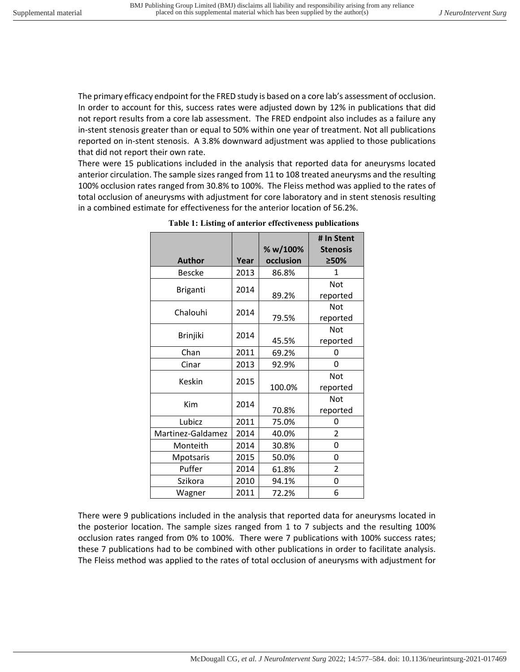The primary efficacy endpoint for the FRED study is based on a core lab's assessment of occlusion. In order to account for this, success rates were adjusted down by 12% in publications that did not report results from a core lab assessment. The FRED endpoint also includes as a failure any in-stent stenosis greater than or equal to 50% within one year of treatment. Not all publications reported on in-stent stenosis. A 3.8% downward adjustment was applied to those publications that did not report their own rate.

There were 15 publications included in the analysis that reported data for aneurysms located anterior circulation. The sample sizes ranged from 11 to 108 treated aneurysms and the resulting 100% occlusion rates ranged from 30.8% to 100%. The Fleiss method was applied to the rates of total occlusion of aneurysms with adjustment for core laboratory and in stent stenosis resulting in a combined estimate for effectiveness for the anterior location of 56.2%.

|                   |      | % w/100%  | # In Stent<br><b>Stenosis</b> |
|-------------------|------|-----------|-------------------------------|
| <b>Author</b>     | Year | occlusion | ≥50%                          |
| <b>Bescke</b>     | 2013 | 86.8%     | 1                             |
| Briganti          | 2014 |           | Not                           |
|                   |      | 89.2%     | reported                      |
| Chalouhi          | 2014 |           | <b>Not</b>                    |
|                   |      | 79.5%     | reported                      |
| <b>Brinjiki</b>   | 2014 |           | Not                           |
|                   |      | 45.5%     | reported                      |
| Chan              | 2011 | 69.2%     | 0                             |
| Cinar             | 2013 | 92.9%     | 0                             |
| Keskin            | 2015 |           | Not                           |
|                   |      | 100.0%    | reported                      |
| Kim               | 2014 |           | Not                           |
|                   |      | 70.8%     | reported                      |
| Lubicz            | 2011 | 75.0%     | 0                             |
| Martinez-Galdamez | 2014 | 40.0%     | $\mathfrak{p}$                |
| Monteith          | 2014 | 30.8%     | 0                             |
| Mpotsaris         | 2015 | 50.0%     | 0                             |
| Puffer            | 2014 | 61.8%     | $\overline{2}$                |
| Szikora           | 2010 | 94.1%     | 0                             |
| Wagner            | 2011 | 72.2%     | 6                             |

| Table 1: Listing of anterior effectiveness publications |  |
|---------------------------------------------------------|--|
|---------------------------------------------------------|--|

There were 9 publications included in the analysis that reported data for aneurysms located in the posterior location. The sample sizes ranged from 1 to 7 subjects and the resulting 100% occlusion rates ranged from 0% to 100%. There were 7 publications with 100% success rates; these 7 publications had to be combined with other publications in order to facilitate analysis. The Fleiss method was applied to the rates of total occlusion of aneurysms with adjustment for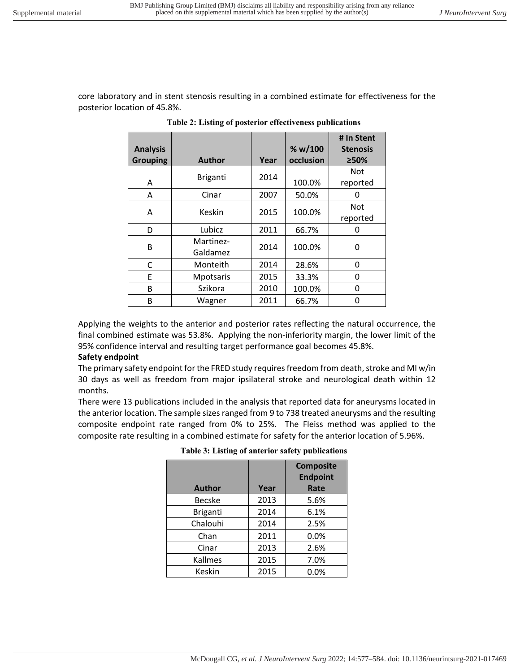core laboratory and in stent stenosis resulting in a combined estimate for effectiveness for the posterior location of 45.8%.

| <b>Analysis</b><br><b>Grouping</b> | <b>Author</b>         | Year | % w/100<br>occlusion | # In Stent<br><b>Stenosis</b><br>≥50% |
|------------------------------------|-----------------------|------|----------------------|---------------------------------------|
| A                                  | <b>Briganti</b>       | 2014 | 100.0%               | Not<br>reported                       |
| A                                  | Cinar                 | 2007 | 50.0%                | O                                     |
| A                                  | Keskin                | 2015 | 100.0%               | Not<br>reported                       |
| D                                  | Lubicz                | 2011 | 66.7%                | O                                     |
| B                                  | Martinez-<br>Galdamez | 2014 | 100.0%               | 0                                     |
| C                                  | Monteith              | 2014 | 28.6%                | 0                                     |
| E                                  | Mpotsaris             | 2015 | 33.3%                | 0                                     |
| в                                  | Szikora               | 2010 | 100.0%               | 0                                     |
| B                                  | Wagner                | 2011 | 66.7%                | O                                     |

Applying the weights to the anterior and posterior rates reflecting the natural occurrence, the final combined estimate was 53.8%. Applying the non-inferiority margin, the lower limit of the 95% confidence interval and resulting target performance goal becomes 45.8%.

#### **Safety endpoint**

The primary safety endpoint for the FRED study requires freedom from death, stroke and MI w/in 30 days as well as freedom from major ipsilateral stroke and neurological death within 12 months.

There were 13 publications included in the analysis that reported data for aneurysms located in the anterior location. The sample sizes ranged from 9 to 738 treated aneurysms and the resulting composite endpoint rate ranged from 0% to 25%. The Fleiss method was applied to the composite rate resulting in a combined estimate for safety for the anterior location of 5.96%.

| <b>Author</b>   | Year | <b>Composite</b><br><b>Endpoint</b><br>Rate |
|-----------------|------|---------------------------------------------|
| Becske          | 2013 | 5.6%                                        |
| <b>Briganti</b> | 2014 | 6.1%                                        |
| Chalouhi        | 2014 | 2.5%                                        |
| Chan            | 2011 | 0.0%                                        |
| Cinar           | 2013 | 2.6%                                        |
| Kallmes         | 2015 | 7.0%                                        |
| Keskin          | 2015 | 0.0%                                        |

**Table 3: Listing of anterior safety publications**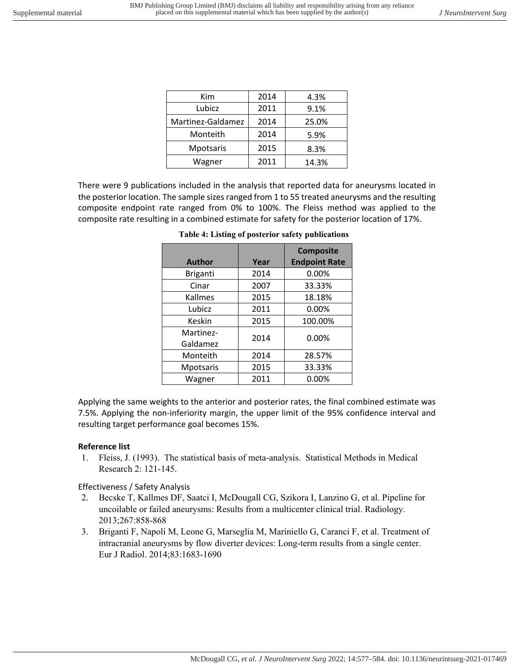| Kim               | 2014 | 4.3%  |
|-------------------|------|-------|
| Lubicz            | 2011 | 9.1%  |
| Martinez-Galdamez | 2014 | 25.0% |
| Monteith          | 2014 | 5.9%  |
| Mpotsaris         | 2015 | 8.3%  |
| Wagner            | 2011 | 14.3% |

There were 9 publications included in the analysis that reported data for aneurysms located in the posterior location. The sample sizes ranged from 1 to 55 treated aneurysms and the resulting composite endpoint rate ranged from 0% to 100%. The Fleiss method was applied to the composite rate resulting in a combined estimate for safety for the posterior location of 17%.

| <b>Author</b>         | Year | <b>Composite</b><br><b>Endpoint Rate</b> |
|-----------------------|------|------------------------------------------|
| <b>Briganti</b>       | 2014 | 0.00%                                    |
| Cinar                 | 2007 | 33.33%                                   |
| Kallmes               | 2015 | 18.18%                                   |
| Lubicz                | 2011 | 0.00%                                    |
| Keskin                | 2015 | 100.00%                                  |
| Martinez-<br>Galdamez | 2014 | 0.00%                                    |
| Monteith              | 2014 | 28.57%                                   |
| Mpotsaris             | 2015 | 33.33%                                   |
| Wagner                | 2011 | $0.00\%$                                 |

**Table 4: Listing of posterior safety publications**

Applying the same weights to the anterior and posterior rates, the final combined estimate was 7.5%. Applying the non-inferiority margin, the upper limit of the 95% confidence interval and resulting target performance goal becomes 15%.

## **Reference list**

1. Fleiss, J. (1993). The statistical basis of meta-analysis. Statistical Methods in Medical Research 2: 121-145.

## Effectiveness / Safety Analysis

- 2. Becske T, Kallmes DF, Saatci I, McDougall CG, Szikora I, Lanzino G, et al. Pipeline for uncoilable or failed aneurysms: Results from a multicenter clinical trial. Radiology. 2013;267:858-868
- 3. Briganti F, Napoli M, Leone G, Marseglia M, Mariniello G, Caranci F, et al. Treatment of intracranial aneurysms by flow diverter devices: Long-term results from a single center. Eur J Radiol. 2014;83:1683-1690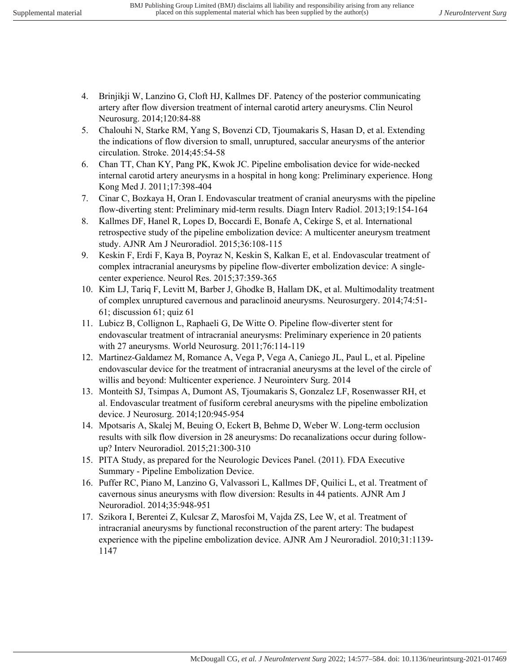- 4. Brinjikji W, Lanzino G, Cloft HJ, Kallmes DF. Patency of the posterior communicating artery after flow diversion treatment of internal carotid artery aneurysms. Clin Neurol Neurosurg. 2014;120:84-88
- 5. Chalouhi N, Starke RM, Yang S, Bovenzi CD, Tjoumakaris S, Hasan D, et al. Extending the indications of flow diversion to small, unruptured, saccular aneurysms of the anterior circulation. Stroke. 2014;45:54-58
- 6. Chan TT, Chan KY, Pang PK, Kwok JC. Pipeline embolisation device for wide-necked internal carotid artery aneurysms in a hospital in hong kong: Preliminary experience. Hong Kong Med J. 2011;17:398-404
- 7. Cinar C, Bozkaya H, Oran I. Endovascular treatment of cranial aneurysms with the pipeline flow-diverting stent: Preliminary mid-term results. Diagn Interv Radiol. 2013;19:154-164
- 8. Kallmes DF, Hanel R, Lopes D, Boccardi E, Bonafe A, Cekirge S, et al. International retrospective study of the pipeline embolization device: A multicenter aneurysm treatment study. AJNR Am J Neuroradiol. 2015;36:108-115
- 9. Keskin F, Erdi F, Kaya B, Poyraz N, Keskin S, Kalkan E, et al. Endovascular treatment of complex intracranial aneurysms by pipeline flow-diverter embolization device: A singlecenter experience. Neurol Res. 2015;37:359-365
- 10. Kim LJ, Tariq F, Levitt M, Barber J, Ghodke B, Hallam DK, et al. Multimodality treatment of complex unruptured cavernous and paraclinoid aneurysms. Neurosurgery. 2014;74:51- 61; discussion 61; quiz 61
- 11. Lubicz B, Collignon L, Raphaeli G, De Witte O. Pipeline flow-diverter stent for endovascular treatment of intracranial aneurysms: Preliminary experience in 20 patients with 27 aneurysms. World Neurosurg. 2011;76:114-119
- 12. Martinez-Galdamez M, Romance A, Vega P, Vega A, Caniego JL, Paul L, et al. Pipeline endovascular device for the treatment of intracranial aneurysms at the level of the circle of willis and beyond: Multicenter experience. J Neurointerv Surg. 2014
- 13. Monteith SJ, Tsimpas A, Dumont AS, Tjoumakaris S, Gonzalez LF, Rosenwasser RH, et al. Endovascular treatment of fusiform cerebral aneurysms with the pipeline embolization device. J Neurosurg. 2014;120:945-954
- 14. Mpotsaris A, Skalej M, Beuing O, Eckert B, Behme D, Weber W. Long-term occlusion results with silk flow diversion in 28 aneurysms: Do recanalizations occur during followup? Interv Neuroradiol. 2015;21:300-310
- 15. PITA Study, as prepared for the Neurologic Devices Panel. (2011). FDA Executive Summary - Pipeline Embolization Device.
- 16. Puffer RC, Piano M, Lanzino G, Valvassori L, Kallmes DF, Quilici L, et al. Treatment of cavernous sinus aneurysms with flow diversion: Results in 44 patients. AJNR Am J Neuroradiol. 2014;35:948-951
- 17. Szikora I, Berentei Z, Kulcsar Z, Marosfoi M, Vajda ZS, Lee W, et al. Treatment of intracranial aneurysms by functional reconstruction of the parent artery: The budapest experience with the pipeline embolization device. AJNR Am J Neuroradiol. 2010;31:1139- 1147